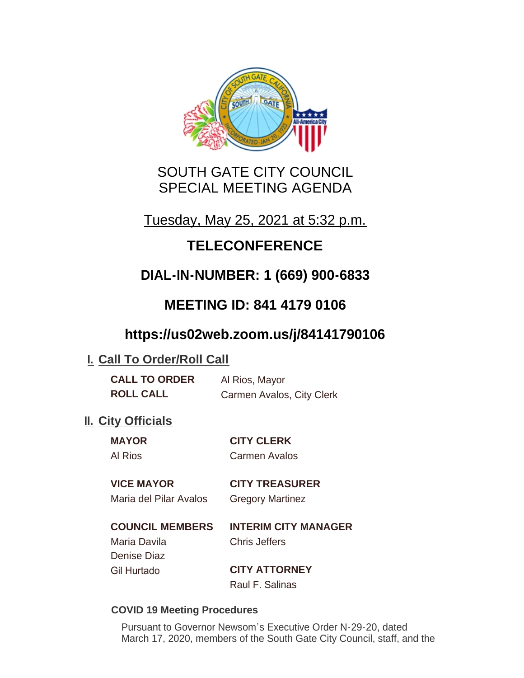

# SOUTH GATE CITY COUNCIL SPECIAL MEETING AGENDA

Tuesday, May 25, 2021 at 5:32 p.m.

# **TELECONFERENCE**

# **DIAL-IN-NUMBER: 1 (669) 900-6833**

# **MEETING ID: 841 4179 0106**

# **https://us02web.zoom.us/j/84141790106**

## **I. Call To Order/Roll Call**

**CALL TO ORDER** Al Rios, Mayor **ROLL CALL** Carmen Avalos, City Clerk

## **II.** City Officials

**MAYOR CITY CLERK** Al Rios Carmen Avalos

# **VICE MAYOR CITY TREASURER**

Maria del Pilar Avalos Gregory Martinez

### **COUNCIL MEMBERS INTERIM CITY MANAGER** Maria Davila Chris Jeffers Denise Diaz Gil Hurtado **CITY ATTORNEY**

Raul F. Salinas

### **COVID 19 Meeting Procedures**

Pursuant to Governor Newsom's Executive Order N-29-20, dated March 17, 2020, members of the South Gate City Council, staff, and the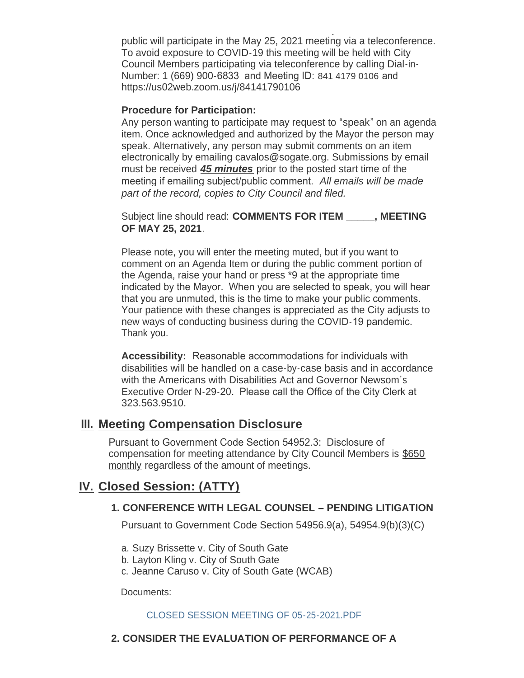March 17, 2020, members of the South Gate City Council, staff, and the public will participate in the May 25, 2021 meeting via a teleconference. To avoid exposure to COVID-19 this meeting will be held with City Council Members participating via teleconference by calling Dial-in-Number: 1 (669) 900-6833 and Meeting ID: 841 4179 0106 and https://us02web.zoom.us/j/84141790106

#### **Procedure for Participation:**

Any person wanting to participate may request to "speak" on an agenda item. Once acknowledged and authorized by the Mayor the person may speak. Alternatively, any person may submit comments on an item electronically by emailing cavalos@sogate.org. Submissions by email must be received *45 minutes* prior to the posted start time of the meeting if emailing subject/public comment. *All emails will be made part of the record, copies to City Council and filed.*

Subject line should read: **COMMENTS FOR ITEM \_\_\_\_\_, MEETING OF MAY 25, 2021**.

Please note, you will enter the meeting muted, but if you want to comment on an Agenda Item or during the public comment portion of the Agenda, raise your hand or press \*9 at the appropriate time indicated by the Mayor. When you are selected to speak, you will hear that you are unmuted, this is the time to make your public comments. Your patience with these changes is appreciated as the City adjusts to new ways of conducting business during the COVID-19 pandemic. Thank you.

**Accessibility:** Reasonable accommodations for individuals with disabilities will be handled on a case-by-case basis and in accordance with the Americans with Disabilities Act and Governor Newsom's Executive Order N-29-20. Please call the Office of the City Clerk at 323.563.9510.

### **Meeting Compensation Disclosure III.**

Pursuant to Government Code Section 54952.3: Disclosure of compensation for meeting attendance by City Council Members is \$650 monthly regardless of the amount of meetings.

### **Closed Session: (ATTY) IV.**

#### **1. CONFERENCE WITH LEGAL COUNSEL – PENDING LITIGATION**

Pursuant to Government Code Section 54956.9(a), 54954.9(b)(3)(C)

- a. Suzy Brissette v. City of South Gate
- b. Layton Kling v. City of South Gate
- c. Jeanne Caruso v. City of South Gate (WCAB)

Documents:

#### CLOSED SESSION MEETING OF 05-25-2021 PDF

#### **2. CONSIDER THE EVALUATION OF PERFORMANCE OF A**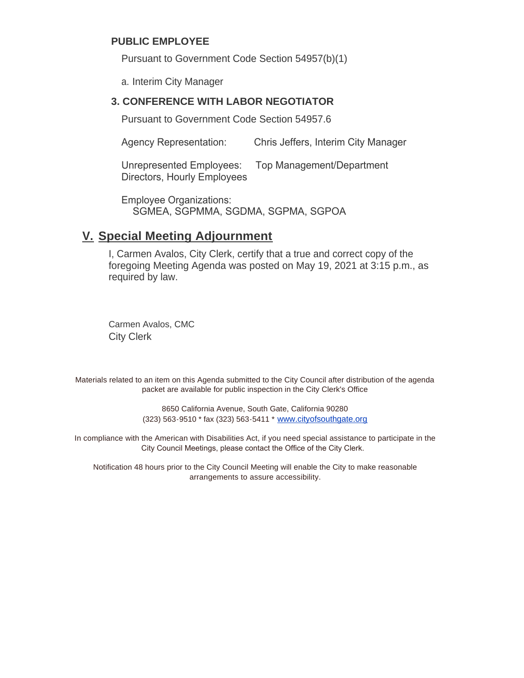#### **PUBLIC EMPLOYEE**

Pursuant to Government Code Section 54957(b)(1)

a. Interim City Manager

#### **3. CONFERENCE WITH LABOR NEGOTIATOR**

Pursuant to Government Code Section 54957.6

Agency Representation: Chris Jeffers, Interim City Manager

Unrepresented Employees: Top Management/Department Directors, Hourly Employees

Employee Organizations: SGMEA, SGPMMA, SGDMA, SGPMA, SGPOA

### **Special Meeting Adjournment V.**

I, Carmen Avalos, City Clerk, certify that a true and correct copy of the foregoing Meeting Agenda was posted on May 19, 2021 at 3:15 p.m., as required by law.

Carmen Avalos, CMC City Clerk

Materials related to an item on this Agenda submitted to the City Council after distribution of the agenda packet are available for public inspection in the City Clerk's Office

> 8650 California Avenue, South Gate, California 90280 (323) 563-9510 \* fax (323) 563-5411 \* [www.cityofsouthgate.org](http://www.cityofsouthgate.org/)

In compliance with the American with Disabilities Act, if you need special assistance to participate in the City Council Meetings, please contact the Office of the City Clerk.

Notification 48 hours prior to the City Council Meeting will enable the City to make reasonable arrangements to assure accessibility.